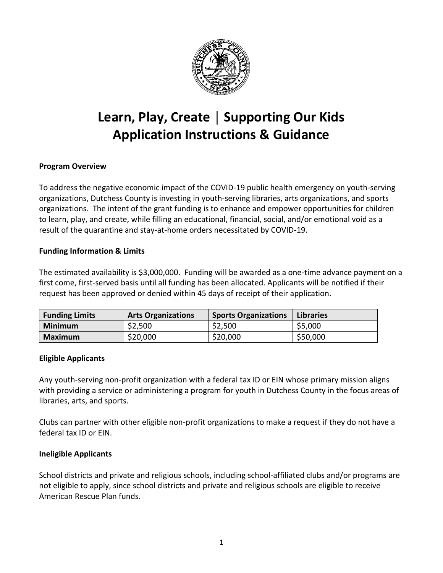

# **Learn, Play, Create │ Supporting Our Kids Application Instructions & Guidance**

# **Program Overview**

 To address the negative economic impact of the COVID-19 public health emergency on youth-serving organizations. The intent of the grant funding is to enhance and empower opportunities for children to learn, play, and create, while filling an educational, financial, social, and/or emotional void as a result of the quarantine and stay-at-home orders necessitated by COVID-19. organizations, Dutchess County is investing in youth-serving libraries, arts organizations, and sports

# **Funding Information & Limits**

 The estimated availability is \$3,000,000. Funding will be awarded as a one-time advance payment on a first come, first-served basis until all funding has been allocated. Applicants will be notified if their request has been approved or denied within 45 days of receipt of their application.

| <b>Funding Limits</b> | <b>Arts Organizations</b> | <b>Sports Organizations</b> | <b>Libraries</b> |
|-----------------------|---------------------------|-----------------------------|------------------|
| <b>Minimum</b>        | \$2,500                   | \$2,500                     | \$5,000          |
| Maximum               | \$20,000                  | \$20,000                    | \$50,000         |

# **Eligible Applicants**

 Any youth-serving non-profit organization with a federal tax ID or EIN whose primary mission aligns with providing a service or administering a program for youth in Dutchess County in the focus areas of libraries, arts, and sports.

 Clubs can partner with other eligible non-profit organizations to make a request if they do not have a federal tax ID or EIN.

# **Ineligible Applicants**

 not eligible to apply, since school districts and private and religious schools are eligible to receive American Rescue Plan funds. School districts and private and religious schools, including school-affiliated clubs and/or programs are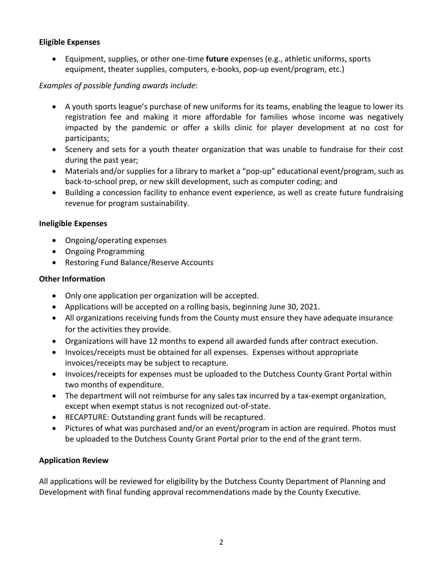# **Eligible Expenses**

• Equipment, supplies, or other one-time **future** expenses (e.g., athletic uniforms, sports equipment, theater supplies, computers, e-books, pop-up event/program, etc.)

# *Examples of possible funding awards include*:

- • A youth sports league's purchase of new uniforms for its teams, enabling the league to lower its registration fee and making it more affordable for families whose income was negatively impacted by the pandemic or offer a skills clinic for player development at no cost for participants;
- • Scenery and sets for a youth theater organization that was unable to fundraise for their cost during the past year;
- • Materials and/or supplies for a library to market a "pop-up" educational event/program, such as back-to-school prep, or new skill development, such as computer coding; and
- • Building a concession facility to enhance event experience, as well as create future fundraising revenue for program sustainability.

#### **Ineligible Expenses**

- Ongoing/operating expenses
- Ongoing Programming
- Restoring Fund Balance/Reserve Accounts

#### **Other Information**

- Only one application per organization will be accepted.
- Applications will be accepted on a rolling basis, beginning June 30, 2021.
- • All organizations receiving funds from the County must ensure they have adequate insurance for the activities they provide.
- Organizations will have 12 months to expend all awarded funds after contract execution.
- • Invoices/receipts must be obtained for all expenses. Expenses without appropriate invoices/receipts may be subject to recapture.
- • Invoices/receipts for expenses must be uploaded to the Dutchess County Grant Portal within two months of expenditure.
- • The department will not reimburse for any sales tax incurred by a tax-exempt organization, except when exempt status is not recognized out-of-state.
- RECAPTURE: Outstanding grant funds will be recaptured.
- • Pictures of what was purchased and/or an event/program in action are required. Photos must be uploaded to the Dutchess County Grant Portal prior to the end of the grant term.

# **Application Review**

 All applications will be reviewed for eligibility by the Dutchess County Department of Planning and Development with final funding approval recommendations made by the County Executive.